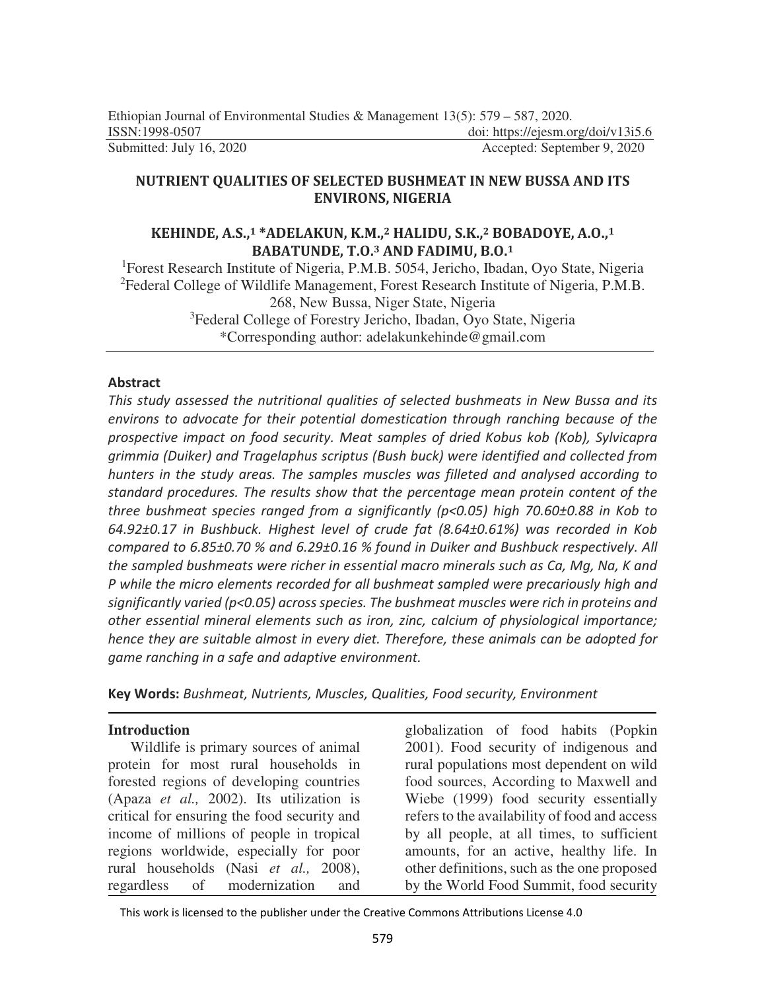## **NUTRIENT QUALITIES OF SELECTED BUSHMEAT IN NEW BUSSA AND ITS ENVIRONS, NIGERIA**

## **KEHINDE, A.S.,1 \*ADELAKUN, K.M.,2 HALIDU, S.K.,2 BOBADOYE, A.O.,<sup>1</sup> BABATUNDE, T.O.3 AND FADIMU, B.O.<sup>1</sup>**

<sup>1</sup>Forest Research Institute of Nigeria, P.M.B. 5054, Jericho, Ibadan, Oyo State, Nigeria <sup>2</sup>Federal College of Wildlife Management, Forest Research Institute of Nigeria, P.M.B. 268, New Bussa, Niger State, Nigeria <sup>3</sup>Federal College of Forestry Jericho, Ibadan, Oyo State, Nigeria \*Corresponding author: adelakunkehinde@gmail.com

## **Abstract**

*This study assessed the nutritional qualities of selected bushmeats in New Bussa and its environs to advocate for their potential domestication through ranching because of the prospective impact on food security. Meat samples of dried Kobus kob (Kob), Sylvicapra grimmia (Duiker) and Tragelaphus scriptus (Bush buck) were identified and collected from hunters in the study areas. The samples muscles was filleted and analysed according to standard procedures. The results show that the percentage mean protein content of the three bushmeat species ranged from a significantly (p<0.05) high 70.60±0.88 in Kob to 64.92±0.17 in Bushbuck. Highest level of crude fat (8.64±0.61%) was recorded in Kob compared to 6.85±0.70 % and 6.29±0.16 % found in Duiker and Bushbuck respectively. All the sampled bushmeats were richer in essential macro minerals such as Ca, Mg, Na, K and P while the micro elements recorded for all bushmeat sampled were precariously high and significantly varied (p<0.05) across species. The bushmeat muscles were rich in proteins and other essential mineral elements such as iron, zinc, calcium of physiological importance; hence they are suitable almost in every diet. Therefore, these animals can be adopted for game ranching in a safe and adaptive environment.* 

**Key Words:** *Bushmeat, Nutrients, Muscles, Qualities, Food security, Environment* 

### **Introduction**

Wildlife is primary sources of animal protein for most rural households in forested regions of developing countries (Apaza *et al.,* 2002). Its utilization is critical for ensuring the food security and income of millions of people in tropical regions worldwide, especially for poor rural households (Nasi *et al.,* 2008), regardless of modernization and

globalization of food habits (Popkin 2001). Food security of indigenous and rural populations most dependent on wild food sources, According to Maxwell and Wiebe (1999) food security essentially refers to the availability of food and access by all people, at all times, to sufficient amounts, for an active, healthy life. In other definitions, such as the one proposed by the World Food Summit, food security

This work is licensed to the publisher under the Creative Commons Attributions License 4.0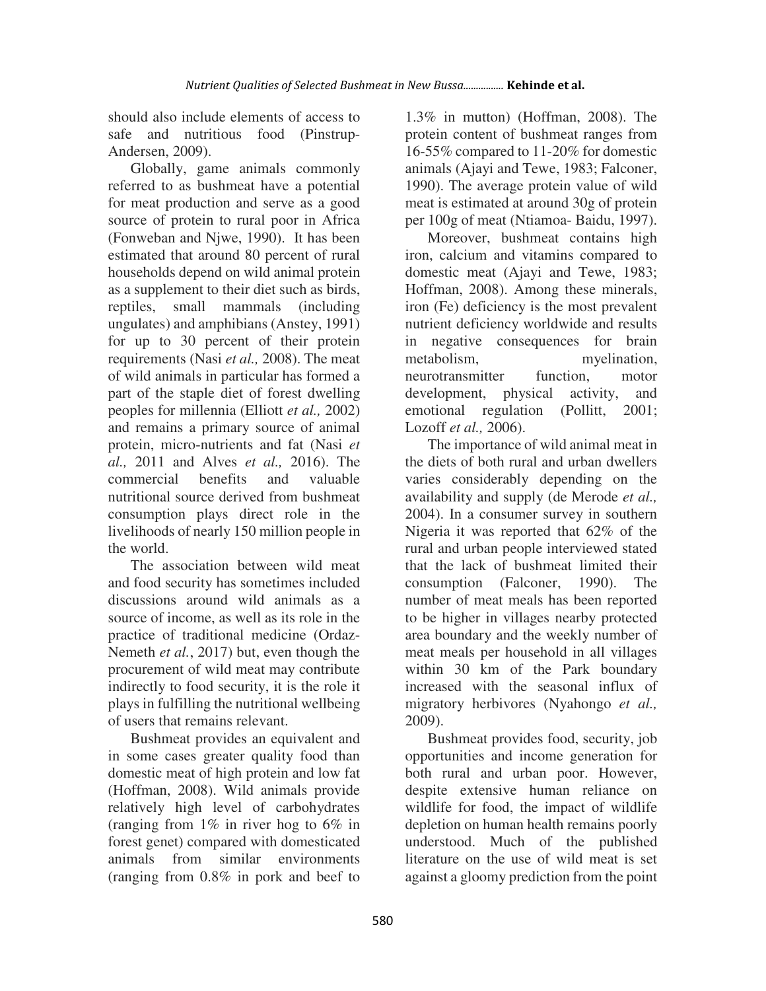should also include elements of access to safe and nutritious food (Pinstrup-Andersen, 2009).

Globally, game animals commonly referred to as bushmeat have a potential for meat production and serve as a good source of protein to rural poor in Africa (Fonweban and Njwe, 1990). It has been estimated that around 80 percent of rural households depend on wild animal protein as a supplement to their diet such as birds, reptiles, small mammals (including ungulates) and amphibians (Anstey, 1991) for up to 30 percent of their protein requirements (Nasi *et al.,* 2008). The meat of wild animals in particular has formed a part of the staple diet of forest dwelling peoples for millennia (Elliott *et al.,* 2002) and remains a primary source of animal protein, micro-nutrients and fat (Nasi *et al.,* 2011 and Alves *et al.,* 2016). The commercial benefits and valuable nutritional source derived from bushmeat consumption plays direct role in the livelihoods of nearly 150 million people in the world.

The association between wild meat and food security has sometimes included discussions around wild animals as a source of income, as well as its role in the practice of traditional medicine (Ordaz-Nemeth *et al.*, 2017) but, even though the procurement of wild meat may contribute indirectly to food security, it is the role it plays in fulfilling the nutritional wellbeing of users that remains relevant.

Bushmeat provides an equivalent and in some cases greater quality food than domestic meat of high protein and low fat (Hoffman, 2008). Wild animals provide relatively high level of carbohydrates (ranging from 1% in river hog to 6% in forest genet) compared with domesticated animals from similar environments (ranging from 0.8% in pork and beef to

1.3% in mutton) (Hoffman, 2008). The protein content of bushmeat ranges from 16-55% compared to 11-20% for domestic animals (Ajayi and Tewe, 1983; Falconer, 1990). The average protein value of wild meat is estimated at around 30g of protein per 100g of meat (Ntiamoa- Baidu, 1997).

Moreover, bushmeat contains high iron, calcium and vitamins compared to domestic meat (Ajayi and Tewe, 1983; Hoffman, 2008). Among these minerals, iron (Fe) deficiency is the most prevalent nutrient deficiency worldwide and results in negative consequences for brain metabolism, myelination, neurotransmitter function, motor development, physical activity, and emotional regulation (Pollitt, 2001; Lozoff *et al.,* 2006).

The importance of wild animal meat in the diets of both rural and urban dwellers varies considerably depending on the availability and supply (de Merode *et al.,* 2004). In a consumer survey in southern Nigeria it was reported that 62% of the rural and urban people interviewed stated that the lack of bushmeat limited their consumption (Falconer, 1990). The number of meat meals has been reported to be higher in villages nearby protected area boundary and the weekly number of meat meals per household in all villages within 30 km of the Park boundary increased with the seasonal influx of migratory herbivores (Nyahongo *et al.,* 2009).

Bushmeat provides food, security, job opportunities and income generation for both rural and urban poor. However, despite extensive human reliance on wildlife for food, the impact of wildlife depletion on human health remains poorly understood. Much of the published literature on the use of wild meat is set against a gloomy prediction from the point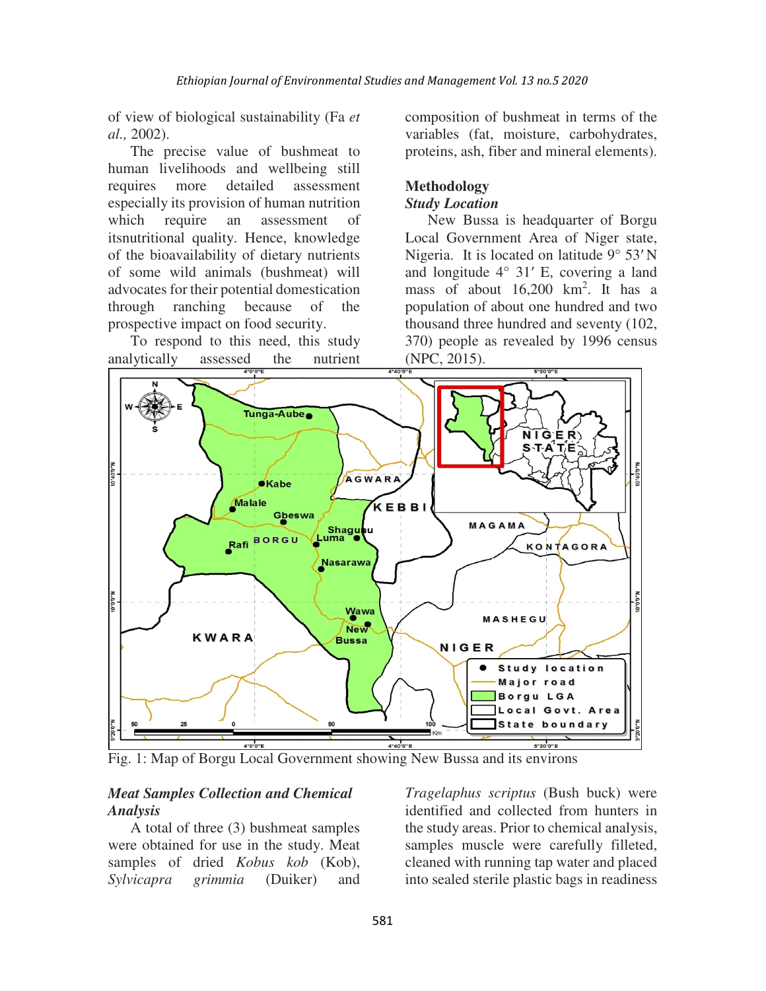of view of biological sustainability (Fa *et al.,* 2002).

The precise value of bushmeat to human livelihoods and wellbeing still requires more detailed assessment especially its provision of human nutrition which require an assessment of itsnutritional quality. Hence, knowledge of the bioavailability of dietary nutrients of some wild animals (bushmeat) will advocates for their potential domestication through ranching because of the prospective impact on food security.

To respond to this need, this study analytically assessed the nutrient composition of bushmeat in terms of the variables (fat, moisture, carbohydrates, proteins, ash, fiber and mineral elements).

## **Methodology**

#### *Study Location*

New Bussa is headquarter of Borgu Local Government Area of Niger state, Nigeria. It is located on latitude 9° 53′ N and longitude 4° 31′ E, covering a land mass of about 16,200 km<sup>2</sup> . It has a population of about one hundred and two thousand three hundred and seventy (102, 370) people as revealed by 1996 census (NPC, 2015).



Fig. 1: Map of Borgu Local Government showing New Bussa and its environs

### *Meat Samples Collection and Chemical Analysis*

A total of three (3) bushmeat samples were obtained for use in the study. Meat samples of dried *Kobus kob* (Kob), *Sylvicapra grimmia* (Duiker) and *Tragelaphus scriptus* (Bush buck) were identified and collected from hunters in the study areas. Prior to chemical analysis, samples muscle were carefully filleted, cleaned with running tap water and placed into sealed sterile plastic bags in readiness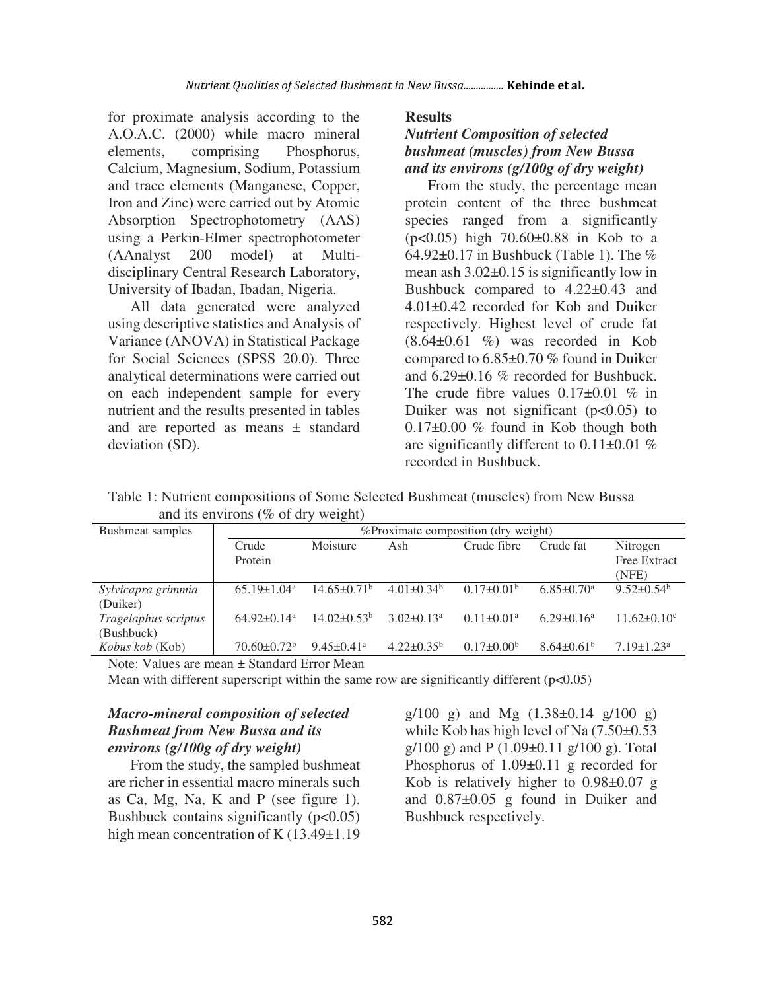for proximate analysis according to the A.O.A.C. (2000) while macro mineral elements, comprising Phosphorus, Calcium, Magnesium, Sodium, Potassium and trace elements (Manganese, Copper, Iron and Zinc) were carried out by Atomic Absorption Spectrophotometry (AAS) using a Perkin-Elmer spectrophotometer (AAnalyst 200 model) at Multidisciplinary Central Research Laboratory, University of Ibadan, Ibadan, Nigeria.

All data generated were analyzed using descriptive statistics and Analysis of Variance (ANOVA) in Statistical Package for Social Sciences (SPSS 20.0). Three analytical determinations were carried out on each independent sample for every nutrient and the results presented in tables and are reported as means ± standard deviation (SD).

**Results**

# *Nutrient Composition of selected bushmeat (muscles) from New Bussa and its environs (g/100g of dry weight)*

From the study, the percentage mean protein content of the three bushmeat species ranged from a significantly (p<0.05) high 70.60±0.88 in Kob to a 64.92±0.17 in Bushbuck (Table 1). The % mean ash  $3.02\pm0.15$  is significantly low in Bushbuck compared to 4.22±0.43 and 4.01±0.42 recorded for Kob and Duiker respectively. Highest level of crude fat  $(8.64\pm0.61 \%)$  was recorded in Kob compared to 6.85±0.70 % found in Duiker and 6.29±0.16 % recorded for Bushbuck. The crude fibre values  $0.17\pm0.01$  % in Duiker was not significant  $(p<0.05)$  to 0.17±0.00 % found in Kob though both are significantly different to  $0.11\pm0.01$  % recorded in Bushbuck.

Table 1: Nutrient compositions of Some Selected Bushmeat (muscles) from New Bussa and its environs (% of dry weight)

| Bushmeat samples       |                             | %Proximate composition (dry weight) |                   |                   |                              |                              |  |  |
|------------------------|-----------------------------|-------------------------------------|-------------------|-------------------|------------------------------|------------------------------|--|--|
|                        | Crude                       | Moisture                            | Ash               | Crude fibre       | Crude fat                    | Nitrogen                     |  |  |
|                        | Protein                     |                                     |                   |                   |                              | <b>Free Extract</b>          |  |  |
|                        |                             |                                     |                   |                   |                              | (NFE)                        |  |  |
| Sylvicapra grimmia     | $65.19 + 1.04$ <sup>a</sup> | $14.65 + 0.71^b$                    | $4.01\pm0.34^{b}$ | $0.17 \pm 0.01^b$ | $6.85 \pm 0.70$ <sup>a</sup> | $9.52 \pm 0.54^b$            |  |  |
| (Duiker)               |                             |                                     |                   |                   |                              |                              |  |  |
| Tragelaphus scriptus   | $64.92+0.14a$               | $14.02\pm0.53^{\rm b}$              | $3.02 \pm 0.13^a$ | $0.11 \pm 0.01^a$ | $6.29 \pm 0.16^a$            | $11.62 \pm 0.10^c$           |  |  |
| (Bushbuck)             |                             |                                     |                   |                   |                              |                              |  |  |
| <i>Kobus kob</i> (Kob) | $70.60 \pm 0.72^b$          | $9.45 \pm 0.41$ <sup>a</sup>        | $4.22 \pm 0.35^b$ | $0.17 \pm 0.00^b$ | $8.64 \pm 0.61^b$            | $7.19 \pm 1.23$ <sup>a</sup> |  |  |
|                        |                             |                                     |                   |                   |                              |                              |  |  |

Note: Values are mean ± Standard Error Mean

Mean with different superscript within the same row are significantly different  $(p<0.05)$ 

### *Macro-mineral composition of selected Bushmeat from New Bussa and its environs (g/100g of dry weight)*

From the study, the sampled bushmeat are richer in essential macro minerals such as Ca, Mg, Na, K and P (see figure 1). Bushbuck contains significantly  $(p<0.05)$ high mean concentration of K (13.49±1.19)

 $g/100$  g) and Mg  $(1.38\pm0.14)$  g/100 g) while Kob has high level of Na  $(7.50\pm0.53)$  $g/100 g$ ) and P (1.09 $\pm$ 0.11 g/100 g). Total Phosphorus of 1.09±0.11 g recorded for Kob is relatively higher to 0.98±0.07 g and 0.87±0.05 g found in Duiker and Bushbuck respectively.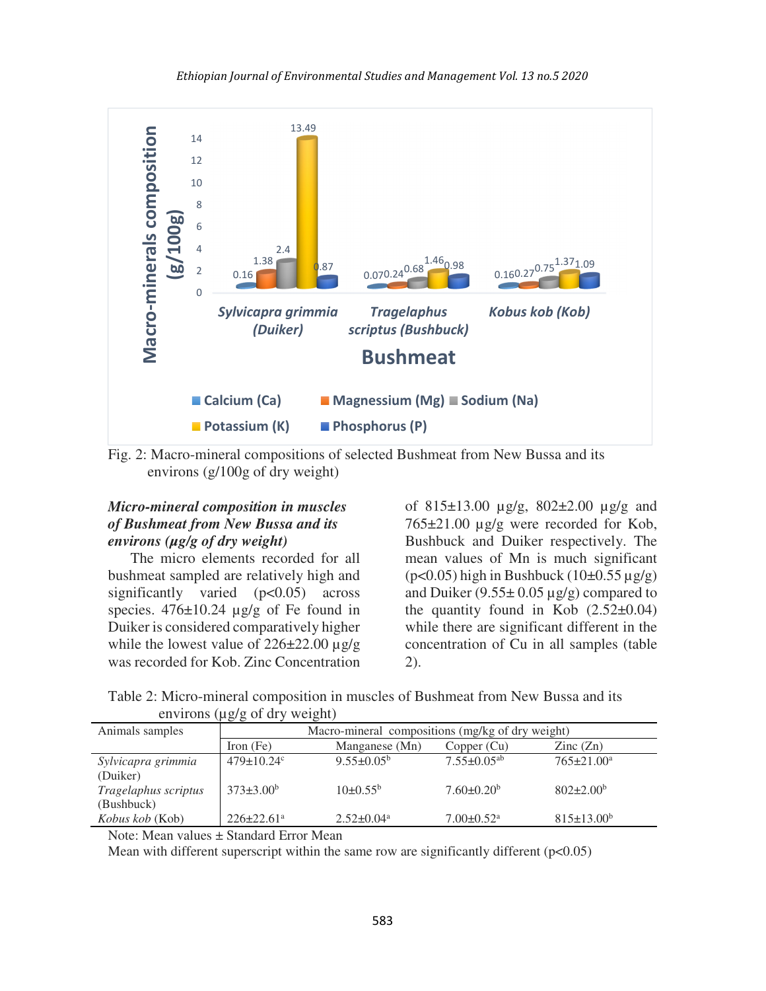

Fig. 2: Macro-mineral compositions of selected Bushmeat from New Bussa and its environs (g/100g of dry weight)

### *Micro-mineral composition in muscles of Bushmeat from New Bussa and its environs (µg/g of dry weight)*

The micro elements recorded for all bushmeat sampled are relatively high and significantly varied (p<0.05) across species.  $476 \pm 10.24$  ug/g of Fe found in Duiker is considered comparatively higher while the lowest value of  $226\pm22.00 \,\mu g/g$ was recorded for Kob. Zinc Concentration

of 815±13.00 µg/g, 802±2.00 µg/g and 765±21.00 µg/g were recorded for Kob, Bushbuck and Duiker respectively. The mean values of Mn is much significant  $(p<0.05)$  high in Bushbuck  $(10\pm0.55 \,\mu g/g)$ and Duiker  $(9.55 \pm 0.05 \,\mu\text{g/g})$  compared to the quantity found in Kob  $(2.52\pm0.04)$ while there are significant different in the concentration of Cu in all samples (table 2).

Table 2: Micro-mineral composition in muscles of Bushmeat from New Bussa and its environs (µg/g of dry weight)

|                      | $\sim$ $\sim$                                    |                         |                               |                          |  |  |  |
|----------------------|--------------------------------------------------|-------------------------|-------------------------------|--------------------------|--|--|--|
| Animals samples      | Macro-mineral compositions (mg/kg of dry weight) |                         |                               |                          |  |  |  |
|                      | Iron $(Fe)$                                      | Manganese (Mn)          | Copper (Cu)                   | $\text{Zinc}(\text{Zn})$ |  |  |  |
| Sylvicapra grimmia   | $479 \pm 10.24$ °                                | $9.55 \pm 0.05^{\circ}$ | $7.55 \pm 0.05$ <sup>ab</sup> | $765 \pm 21.00^a$        |  |  |  |
| (Duiker)             |                                                  |                         |                               |                          |  |  |  |
| Tragelaphus scriptus | $373\pm3.00^b$                                   | $10\pm 0.55^{\rm b}$    | $7.60 \pm 0.20^b$             | $802 \pm 2.00^b$         |  |  |  |
| (Bushbuck)           |                                                  |                         |                               |                          |  |  |  |
| Kobus kob (Kob)      | $226 \pm 22.61$ <sup>a</sup>                     | $2.52 \pm 0.04^a$       | $7.00 \pm 0.52$ <sup>a</sup>  | $815 \pm 13.00^b$        |  |  |  |

Note: Mean values ± Standard Error Mean

Mean with different superscript within the same row are significantly different  $(p<0.05)$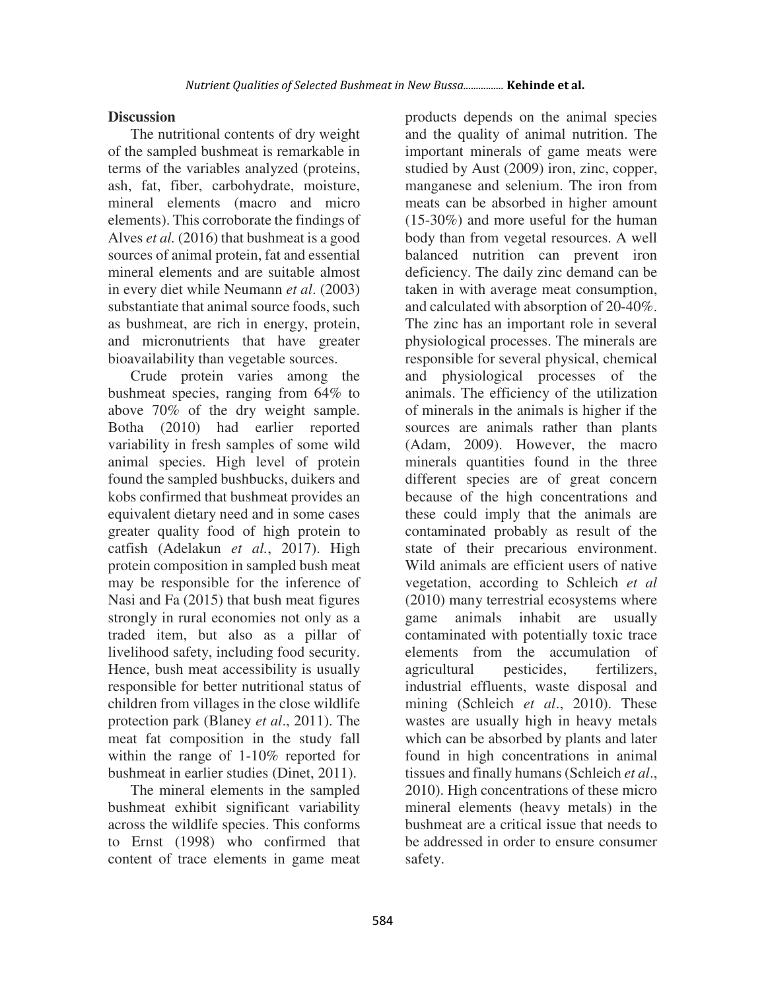### **Discussion**

The nutritional contents of dry weight of the sampled bushmeat is remarkable in terms of the variables analyzed (proteins, ash, fat, fiber, carbohydrate, moisture, mineral elements (macro and micro elements). This corroborate the findings of Alves *et al.* (2016) that bushmeat is a good sources of animal protein, fat and essential mineral elements and are suitable almost in every diet while Neumann *et al*. (2003) substantiate that animal source foods, such as bushmeat, are rich in energy, protein, and micronutrients that have greater bioavailability than vegetable sources.

Crude protein varies among the bushmeat species, ranging from 64% to above 70% of the dry weight sample. Botha (2010) had earlier reported variability in fresh samples of some wild animal species. High level of protein found the sampled bushbucks, duikers and kobs confirmed that bushmeat provides an equivalent dietary need and in some cases greater quality food of high protein to catfish (Adelakun *et al.*, 2017). High protein composition in sampled bush meat may be responsible for the inference of Nasi and Fa (2015) that bush meat figures strongly in rural economies not only as a traded item, but also as a pillar of livelihood safety, including food security. Hence, bush meat accessibility is usually responsible for better nutritional status of children from villages in the close wildlife protection park (Blaney *et al*., 2011). The meat fat composition in the study fall within the range of 1-10% reported for bushmeat in earlier studies (Dinet, 2011).

The mineral elements in the sampled bushmeat exhibit significant variability across the wildlife species. This conforms to Ernst (1998) who confirmed that content of trace elements in game meat products depends on the animal species and the quality of animal nutrition. The important minerals of game meats were studied by Aust (2009) iron, zinc, copper, manganese and selenium. The iron from meats can be absorbed in higher amount (15-30%) and more useful for the human body than from vegetal resources. A well balanced nutrition can prevent iron deficiency. The daily zinc demand can be taken in with average meat consumption, and calculated with absorption of 20-40%. The zinc has an important role in several physiological processes. The minerals are responsible for several physical, chemical and physiological processes of the animals. The efficiency of the utilization of minerals in the animals is higher if the sources are animals rather than plants (Adam, 2009). However, the macro minerals quantities found in the three different species are of great concern because of the high concentrations and these could imply that the animals are contaminated probably as result of the state of their precarious environment. Wild animals are efficient users of native vegetation, according to Schleich *et al*  (2010) many terrestrial ecosystems where game animals inhabit are usually contaminated with potentially toxic trace elements from the accumulation of agricultural pesticides, fertilizers, industrial effluents, waste disposal and mining (Schleich *et al*., 2010). These wastes are usually high in heavy metals which can be absorbed by plants and later found in high concentrations in animal tissues and finally humans (Schleich *et al*., 2010). High concentrations of these micro mineral elements (heavy metals) in the bushmeat are a critical issue that needs to be addressed in order to ensure consumer safety.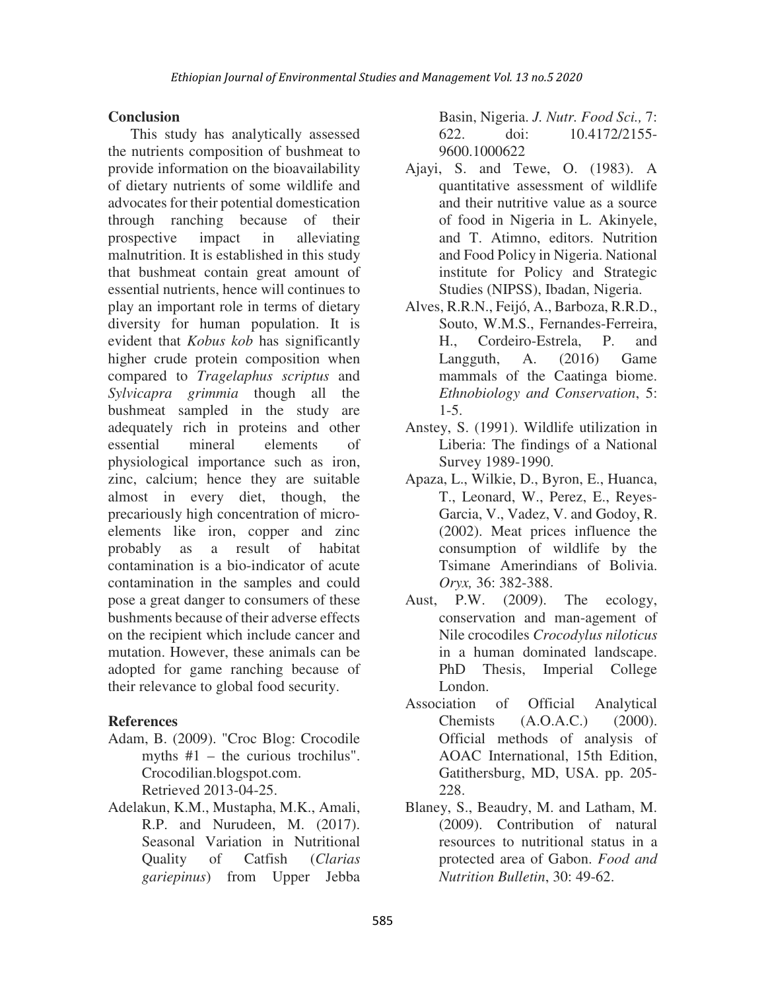## **Conclusion**

This study has analytically assessed the nutrients composition of bushmeat to provide information on the bioavailability of dietary nutrients of some wildlife and advocates for their potential domestication through ranching because of their prospective impact in alleviating malnutrition. It is established in this study that bushmeat contain great amount of essential nutrients, hence will continues to play an important role in terms of dietary diversity for human population. It is evident that *Kobus kob* has significantly higher crude protein composition when compared to *Tragelaphus scriptus* and *Sylvicapra grimmia* though all the bushmeat sampled in the study are adequately rich in proteins and other essential mineral elements of physiological importance such as iron, zinc, calcium; hence they are suitable almost in every diet, though, the precariously high concentration of microelements like iron, copper and zinc probably as a result of habitat contamination is a bio-indicator of acute contamination in the samples and could pose a great danger to consumers of these bushments because of their adverse effects on the recipient which include cancer and mutation. However, these animals can be adopted for game ranching because of their relevance to global food security.

## **References**

- Adam, B. (2009). "Croc Blog: Crocodile myths #1 – the curious trochilus". Crocodilian.blogspot.com. Retrieved 2013-04-25.
- Adelakun, K.M., Mustapha, M.K., Amali, R.P. and Nurudeen, M. (2017). Seasonal Variation in Nutritional Quality of Catfish (*Clarias gariepinus*) from Upper Jebba

Basin, Nigeria. *J. Nutr. Food Sci.,* 7: 622. doi: 10.4172/2155- 9600.1000622

- Ajayi, S. and Tewe, O. (1983). A quantitative assessment of wildlife and their nutritive value as a source of food in Nigeria in L. Akinyele, and T. Atimno, editors. Nutrition and Food Policy in Nigeria. National institute for Policy and Strategic Studies (NIPSS), Ibadan, Nigeria.
- Alves, R.R.N., Feijó, A., Barboza, R.R.D., Souto, W.M.S., Fernandes-Ferreira, H., Cordeiro-Estrela, P. and Langguth, A. (2016) Game mammals of the Caatinga biome. *Ethnobiology and Conservation*, 5:  $1 - 5$ .
- Anstey, S. (1991). Wildlife utilization in Liberia: The findings of a National Survey 1989-1990.
- Apaza, L., Wilkie, D., Byron, E., Huanca, T., Leonard, W., Perez, E., Reyes-Garcia, V., Vadez, V. and Godoy, R. (2002). Meat prices influence the consumption of wildlife by the Tsimane Amerindians of Bolivia. *Oryx,* 36: 382-388.
- Aust, P.W. (2009). The ecology, conservation and man-agement of Nile crocodiles *Crocodylus niloticus*  in a human dominated landscape. PhD Thesis, Imperial College London.
- Association of Official Analytical Chemists (A.O.A.C.) (2000). Official methods of analysis of AOAC International, 15th Edition, Gatithersburg, MD, USA. pp. 205- 228.
- Blaney, S., Beaudry, M. and Latham, M. (2009). Contribution of natural resources to nutritional status in a protected area of Gabon. *Food and Nutrition Bulletin*, 30: 49-62.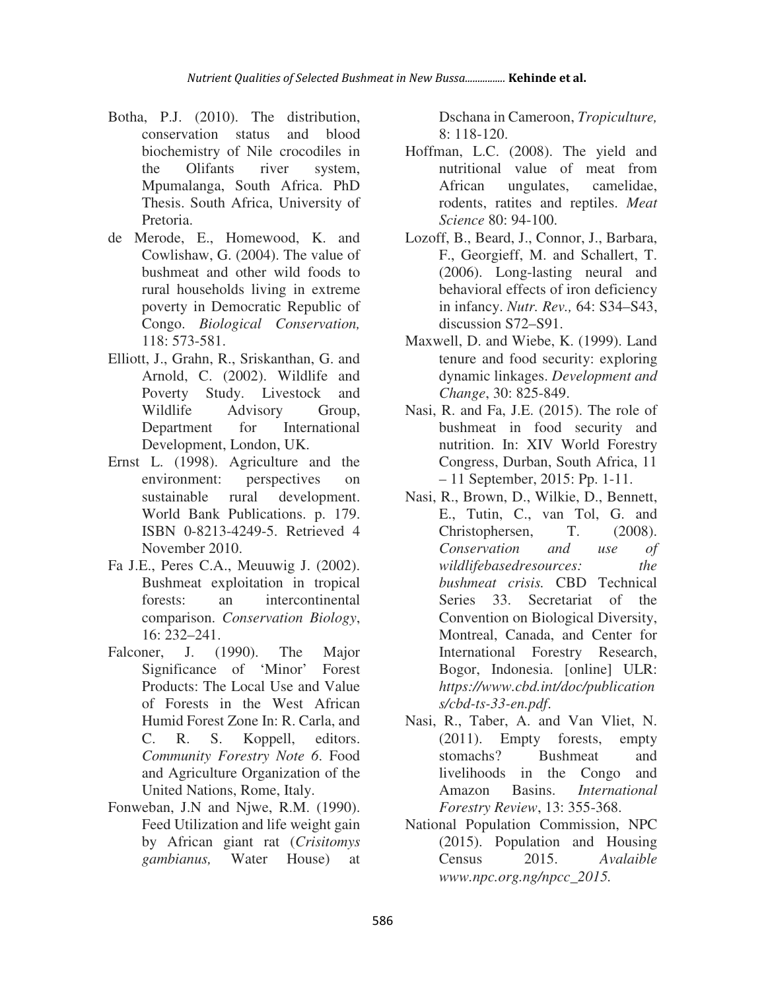- Botha, P.J. (2010). The distribution, conservation status and blood biochemistry of Nile crocodiles in the Olifants river system, Mpumalanga, South Africa. PhD Thesis. South Africa, University of Pretoria.
- de Merode, E., Homewood, K. and Cowlishaw, G. (2004). The value of bushmeat and other wild foods to rural households living in extreme poverty in Democratic Republic of Congo. *Biological Conservation,* 118: 573-581.
- Elliott, J., Grahn, R., Sriskanthan, G. and Arnold, C. (2002). Wildlife and Poverty Study. Livestock and Wildlife Advisory Group, Department for International Development, London, UK.
- Ernst L. (1998). Agriculture and the environment: perspectives on sustainable rural development. World Bank Publications. p. 179. ISBN 0-8213-4249-5. Retrieved 4 November 2010.
- Fa J.E., Peres C.A., Meuuwig J. (2002). Bushmeat exploitation in tropical forests: an intercontinental comparison. *Conservation Biology*, 16: 232–241.
- Falconer, J. (1990). The Major Significance of 'Minor' Forest Products: The Local Use and Value of Forests in the West African Humid Forest Zone In: R. Carla, and C. R. S. Koppell, editors. *Community Forestry Note 6*. Food and Agriculture Organization of the United Nations, Rome, Italy.
- Fonweban, J.N and Njwe, R.M. (1990). Feed Utilization and life weight gain by African giant rat (*Crisitomys gambianus,* Water House) at

Dschana in Cameroon, *Tropiculture,*  8: 118-120.

- Hoffman, L.C. (2008). The yield and nutritional value of meat from African ungulates, camelidae, rodents, ratites and reptiles. *Meat Science* 80: 94-100.
- Lozoff, B., Beard, J., Connor, J., Barbara, F., Georgieff, M. and Schallert, T. (2006). Long-lasting neural and behavioral effects of iron deficiency in infancy. *Nutr. Rev.,* 64: S34–S43, discussion S72–S91.
- Maxwell, D. and Wiebe, K. (1999). Land tenure and food security: exploring dynamic linkages. *Development and Change*, 30: 825-849.
- Nasi, R. and Fa, J.E. (2015). The role of bushmeat in food security and nutrition. In: XIV World Forestry Congress, Durban, South Africa, 11 – 11 September, 2015: Pp. 1-11.
- Nasi, R., Brown, D., Wilkie, D., Bennett, E., Tutin, C., van Tol, G. and Christophersen, T. (2008). *Conservation and use of wildlifebasedresources: the bushmeat crisis.* CBD Technical Series 33. Secretariat of the Convention on Biological Diversity, Montreal, Canada, and Center for International Forestry Research, Bogor, Indonesia. [online] ULR: *https://www.cbd.int/doc/publication s/cbd-ts-33-en.pdf*.
- Nasi, R., Taber, A. and Van Vliet, N. (2011). Empty forests, empty stomachs? Bushmeat and livelihoods in the Congo and Amazon Basins. *International Forestry Review*, 13: 355-368.
- National Population Commission, NPC (2015). Population and Housing Census 2015. *Avalaible www.npc.org.ng/npcc\_2015.*